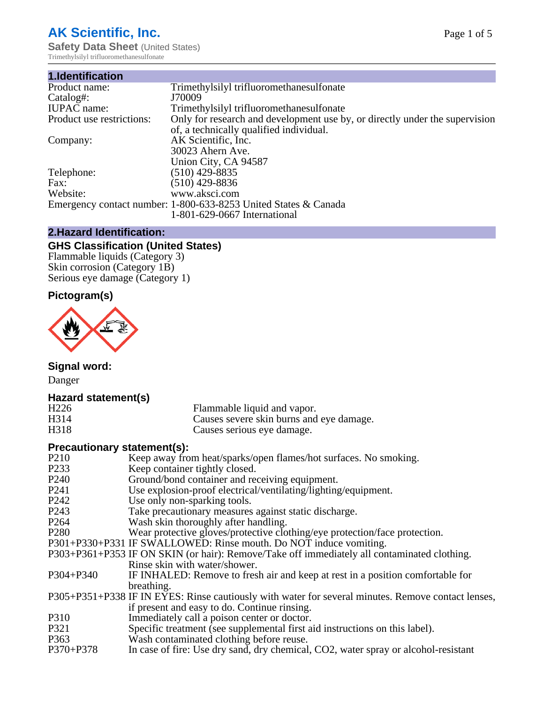# **AK Scientific, Inc.**

**Safety Data Sheet** (United States) Trimethylsilyl trifluoromethanesulfonate

| 1.Identification          |                                                                             |
|---------------------------|-----------------------------------------------------------------------------|
| Product name:             | Trimethylsilyl trifluoromethanesulfonate                                    |
| Catalog#:                 | J70009                                                                      |
| <b>IUPAC</b> name:        | Trimethylsilyl trifluoromethanesulfonate                                    |
| Product use restrictions: | Only for research and development use by, or directly under the supervision |
|                           | of, a technically qualified individual.                                     |
| Company:                  | AK Scientific, Inc.                                                         |
|                           | 30023 Ahern Ave.                                                            |
|                           | Union City, CA 94587                                                        |
| Telephone:                | $(510)$ 429-8835                                                            |
| Fax:                      | (510) 429-8836                                                              |
| Website:                  | www.aksci.com                                                               |
|                           | Emergency contact number: 1-800-633-8253 United States & Canada             |
|                           | 1-801-629-0667 International                                                |

# **2.Hazard Identification:**

# **GHS Classification (United States)**

Flammable liquids (Category 3) Skin corrosion (Category 1B) Serious eye damage (Category 1)

# **Pictogram(s)**



**Signal word:**

Danger

#### **Hazard statement(s)**

| H <sub>226</sub> | Flammable liquid and vapor.              |
|------------------|------------------------------------------|
| H314             | Causes severe skin burns and eye damage. |
| H318             | Causes serious eye damage.               |

## **Precautionary statement(s):**

| P <sub>210</sub>  | Keep away from heat/sparks/open flames/hot surfaces. No smoking.                                   |
|-------------------|----------------------------------------------------------------------------------------------------|
| P <sub>2</sub> 33 | Keep container tightly closed.                                                                     |
| P <sub>240</sub>  | Ground/bond container and receiving equipment.                                                     |
| P <sub>241</sub>  | Use explosion-proof electrical/ventilating/lighting/equipment.                                     |
| P <sub>242</sub>  | Use only non-sparking tools.                                                                       |
| P <sub>243</sub>  | Take precautionary measures against static discharge.                                              |
| P <sub>264</sub>  | Wash skin thoroughly after handling.                                                               |
| P <sub>280</sub>  | Wear protective gloves/protective clothing/eye protection/face protection.                         |
|                   | P301+P330+P331 IF SWALLOWED: Rinse mouth. Do NOT induce vomiting.                                  |
|                   | P303+P361+P353 IF ON SKIN (or hair): Remove/Take off immediately all contaminated clothing.        |
|                   | Rinse skin with water/shower.                                                                      |
| P304+P340         | IF INHALED: Remove to fresh air and keep at rest in a position comfortable for                     |
|                   | breathing.                                                                                         |
|                   | P305+P351+P338 IF IN EYES: Rinse cautiously with water for several minutes. Remove contact lenses, |
|                   | if present and easy to do. Continue rinsing.                                                       |
| P310              | Immediately call a poison center or doctor.                                                        |
| P321              | Specific treatment (see supplemental first aid instructions on this label).                        |
| P363              | Wash contaminated clothing before reuse.                                                           |
| P370+P378         | In case of fire: Use dry sand, dry chemical, CO2, water spray or alcohol-resistant                 |
|                   |                                                                                                    |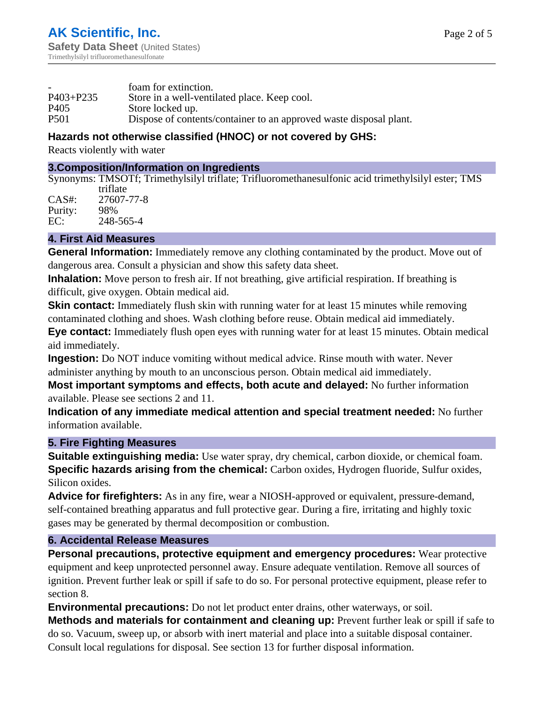|                  | foam for extinction.                                               |
|------------------|--------------------------------------------------------------------|
| $P403 + P235$    | Store in a well-ventilated place. Keep cool.                       |
| P <sub>405</sub> | Store locked up.                                                   |
| <b>P501</b>      | Dispose of contents/container to an approved waste disposal plant. |

# **Hazards not otherwise classified (HNOC) or not covered by GHS:**

Reacts violently with water

#### **3.Composition/Information on Ingredients**

Synonyms: TMSOTf; Trimethylsilyl triflate; Trifluoromethanesulfonic acid trimethylsilyl ester; TMS

|         | triflate   |
|---------|------------|
| CAS#:   | 27607-77-8 |
| Purity: | 98%        |
| EC:     | 248-565-4  |

## **4. First Aid Measures**

**General Information:** Immediately remove any clothing contaminated by the product. Move out of dangerous area. Consult a physician and show this safety data sheet.

**Inhalation:** Move person to fresh air. If not breathing, give artificial respiration. If breathing is difficult, give oxygen. Obtain medical aid.

**Skin contact:** Immediately flush skin with running water for at least 15 minutes while removing contaminated clothing and shoes. Wash clothing before reuse. Obtain medical aid immediately.

**Eye contact:** Immediately flush open eyes with running water for at least 15 minutes. Obtain medical aid immediately.

**Ingestion:** Do NOT induce vomiting without medical advice. Rinse mouth with water. Never administer anything by mouth to an unconscious person. Obtain medical aid immediately.

**Most important symptoms and effects, both acute and delayed:** No further information available. Please see sections 2 and 11.

**Indication of any immediate medical attention and special treatment needed:** No further information available.

#### **5. Fire Fighting Measures**

**Suitable extinguishing media:** Use water spray, dry chemical, carbon dioxide, or chemical foam. **Specific hazards arising from the chemical:** Carbon oxides, Hydrogen fluoride, Sulfur oxides, Silicon oxides.

**Advice for firefighters:** As in any fire, wear a NIOSH-approved or equivalent, pressure-demand, self-contained breathing apparatus and full protective gear. During a fire, irritating and highly toxic gases may be generated by thermal decomposition or combustion.

#### **6. Accidental Release Measures**

**Personal precautions, protective equipment and emergency procedures:** Wear protective equipment and keep unprotected personnel away. Ensure adequate ventilation. Remove all sources of ignition. Prevent further leak or spill if safe to do so. For personal protective equipment, please refer to section 8.

**Environmental precautions:** Do not let product enter drains, other waterways, or soil.

**Methods and materials for containment and cleaning up:** Prevent further leak or spill if safe to do so. Vacuum, sweep up, or absorb with inert material and place into a suitable disposal container. Consult local regulations for disposal. See section 13 for further disposal information.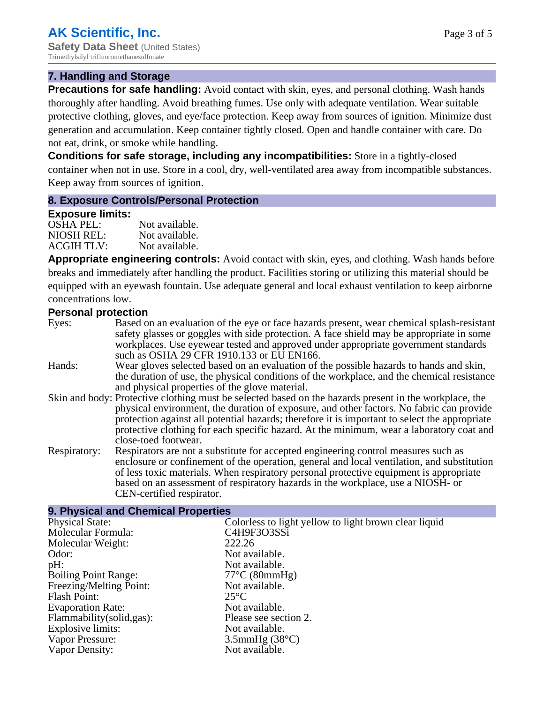#### **7. Handling and Storage**

**Precautions for safe handling:** Avoid contact with skin, eyes, and personal clothing. Wash hands thoroughly after handling. Avoid breathing fumes. Use only with adequate ventilation. Wear suitable protective clothing, gloves, and eye/face protection. Keep away from sources of ignition. Minimize dust generation and accumulation. Keep container tightly closed. Open and handle container with care. Do not eat, drink, or smoke while handling.

**Conditions for safe storage, including any incompatibilities:** Store in a tightly-closed container when not in use. Store in a cool, dry, well-ventilated area away from incompatible substances. Keep away from sources of ignition.

#### **8. Exposure Controls/Personal Protection**

#### **Exposure limits:**

| <b>OSHA PEL:</b>  | Not available. |
|-------------------|----------------|
| NIOSH REL:        | Not available. |
| <b>ACGIH TLV:</b> | Not available. |

**Appropriate engineering controls:** Avoid contact with skin, eyes, and clothing. Wash hands before breaks and immediately after handling the product. Facilities storing or utilizing this material should be equipped with an eyewash fountain. Use adequate general and local exhaust ventilation to keep airborne concentrations low.

#### **Personal protection**

| Eyes:        | Based on an evaluation of the eye or face hazards present, wear chemical splash-resistant<br>safety glasses or goggles with side protection. A face shield may be appropriate in some<br>workplaces. Use eyewear tested and approved under appropriate government standards<br>such as OSHA 29 CFR 1910.133 or EU EN166.                                                                                                |
|--------------|-------------------------------------------------------------------------------------------------------------------------------------------------------------------------------------------------------------------------------------------------------------------------------------------------------------------------------------------------------------------------------------------------------------------------|
| Hands:       | Wear gloves selected based on an evaluation of the possible hazards to hands and skin,<br>the duration of use, the physical conditions of the workplace, and the chemical resistance<br>and physical properties of the glove material.                                                                                                                                                                                  |
|              | Skin and body: Protective clothing must be selected based on the hazards present in the workplace, the<br>physical environment, the duration of exposure, and other factors. No fabric can provide<br>protection against all potential hazards; therefore it is important to select the appropriate<br>protective clothing for each specific hazard. At the minimum, wear a laboratory coat and<br>close-toed footwear. |
| Respiratory: | Respirators are not a substitute for accepted engineering control measures such as<br>enclosure or confinement of the operation, general and local ventilation, and substitution<br>of less toxic materials. When respiratory personal protective equipment is appropriate<br>based on an assessment of respiratory hazards in the workplace, use a NIOSH- or<br>CEN-certified respirator.                              |

#### **9. Physical and Chemical Properties**

| <b>Physical State:</b>      | Colorless to light yellow to light brown clear liquid |
|-----------------------------|-------------------------------------------------------|
| Molecular Formula:          | C4H9F3O3SSi                                           |
| Molecular Weight:           | 222.26                                                |
| Odor:                       | Not available.                                        |
| pH:                         | Not available.                                        |
| <b>Boiling Point Range:</b> | $77^{\circ}$ C (80mmHg)                               |
| Freezing/Melting Point:     | Not available.                                        |
| Flash Point:                | $25^{\circ}C$                                         |
| <b>Evaporation Rate:</b>    | Not available.                                        |
| Flammability (solid, gas):  | Please see section 2.                                 |
| Explosive limits:           | Not available.                                        |
| Vapor Pressure:             | $3.5$ mmHg $(38^{\circ}C)$                            |
| Vapor Density:              | Not available.                                        |
|                             |                                                       |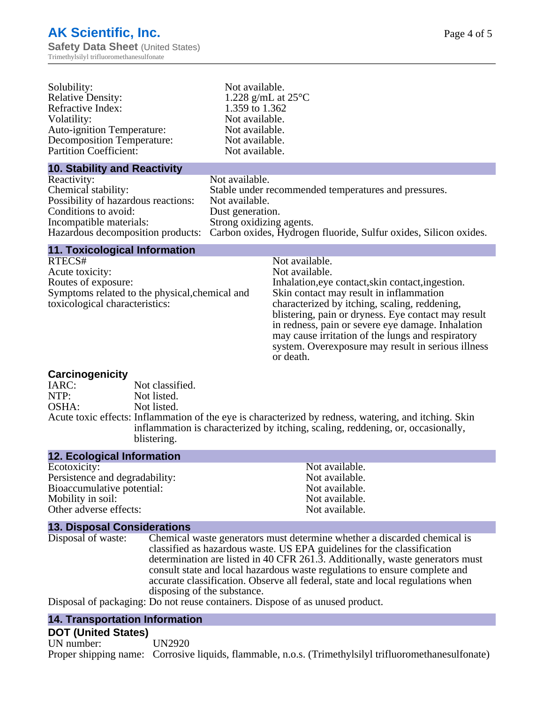| Solubility:                          | Not available.                                                   |
|--------------------------------------|------------------------------------------------------------------|
| <b>Relative Density:</b>             | 1.228 g/mL at $25^{\circ}$ C                                     |
| Refractive Index:                    | 1.359 to 1.362                                                   |
| Volatility:                          | Not available.                                                   |
| <b>Auto-ignition Temperature:</b>    | Not available.                                                   |
| <b>Decomposition Temperature:</b>    | Not available.                                                   |
| <b>Partition Coefficient:</b>        | Not available.                                                   |
| <b>10. Stability and Reactivity</b>  |                                                                  |
| Reactivity:                          | Not available.                                                   |
| Chemical stability:                  | Stable under recommended temperatures and pressures.             |
| Possibility of hazardous reactions:  | Not available.                                                   |
| Conditions to avoid:                 | Dust generation.                                                 |
| Incompatible materials:              | Strong oxidizing agents.                                         |
| Hazardous decomposition products:    | Carbon oxides, Hydrogen fluoride, Sulfur oxides, Silicon oxides. |
| <b>11. Toxicological Information</b> |                                                                  |

| Not available.                                      |
|-----------------------------------------------------|
| Not available.                                      |
| Inhalation, eye contact, skin contact, ingestion.   |
| Skin contact may result in inflammation             |
| characterized by itching, scaling, reddening,       |
| blistering, pain or dryness. Eye contact may result |
| in redness, pain or severe eye damage. Inhalation   |
| may cause irritation of the lungs and respiratory   |
|                                                     |

or death.

system. Overexposure may result in serious illness

# **Carcinogenicity**

| IARC: | Not classified.                                                                                                                                                                                         |
|-------|---------------------------------------------------------------------------------------------------------------------------------------------------------------------------------------------------------|
| NTP:  | Not listed.                                                                                                                                                                                             |
| OSHA: | Not listed.                                                                                                                                                                                             |
|       | Acute toxic effects: Inflammation of the eye is characterized by redness, watering, and itching. Skin<br>inflammation is characterized by itching, scaling, reddening, or, occasionally,<br>blistering. |

| <b>12. Ecological Information</b> |                |
|-----------------------------------|----------------|
| Ecotoxicity:                      | Not available. |
| Persistence and degradability:    | Not available. |
| Bioaccumulative potential:        | Not available. |
| Mobility in soil:                 | Not available. |
| Other adverse effects:            | Not available. |

#### **13. Disposal Considerations**

| Disposal of waste: | Chemical waste generators must determine whether a discarded chemical is       |
|--------------------|--------------------------------------------------------------------------------|
|                    | classified as hazardous waste. US EPA guidelines for the classification        |
|                    | determination are listed in 40 CFR 261.3. Additionally, waste generators must  |
|                    | consult state and local hazardous waste regulations to ensure complete and     |
|                    | accurate classification. Observe all federal, state and local regulations when |
|                    | disposing of the substance.                                                    |
|                    |                                                                                |

Disposal of packaging: Do not reuse containers. Dispose of as unused product.

#### **14. Transportation Information**

# **DOT (United States)**

UN number: UN2920 Proper shipping name: Corrosive liquids, flammable, n.o.s. (Trimethylsilyl trifluoromethanesulfonate)